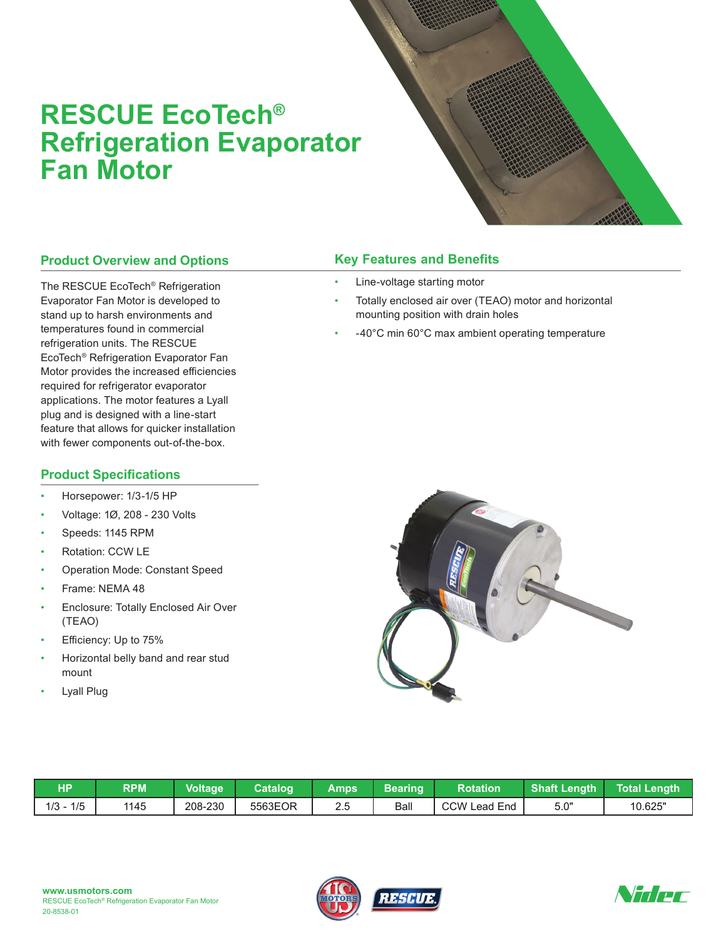## **RESCUE EcoTech® Refrigeration Evaporator Fan Motor**

## **Product Overview and Options**

The RESCUE EcoTech® Refrigeration Evaporator Fan Motor is developed to stand up to harsh environments and temperatures found in commercial refrigeration units. The RESCUE EcoTech® Refrigeration Evaporator Fan Motor provides the increased efficiencies required for refrigerator evaporator applications. The motor features a Lyall plug and is designed with a line-start feature that allows for quicker installation with fewer components out-of-the-box.

## **Product Specifications**

- Horsepower: 1/3-1/5 HP
- Voltage: 1Ø, 208 230 Volts
- Speeds: 1145 RPM
- Rotation: CCW LE
- Operation Mode: Constant Speed
- Frame: NEMA 48
- Enclosure: Totally Enclosed Air Over (TEAO)
- Efficiency: Up to 75%
- Horizontal belly band and rear stud mount
- **Lyall Plug**

## **Key Features and Benefits**

- Line-voltage starting motor
- Totally enclosed air over (TEAO) motor and horizontal mounting position with drain holes
- -40°C min 60°C max ambient operating temperature



| НP             | <b>RPM</b> | <b>Voltage</b> | Catalog | Amps | Bearing | <b>Rotation</b> | <b>Shaft Length</b> | Total Lenɑth |
|----------------|------------|----------------|---------|------|---------|-----------------|---------------------|--------------|
| 1/5<br>$1/3 -$ | 1145       | 208-230        | 5563EOR | 2.5  | Ball    | CCW Lead End    | 5.0"                | 10.625"      |